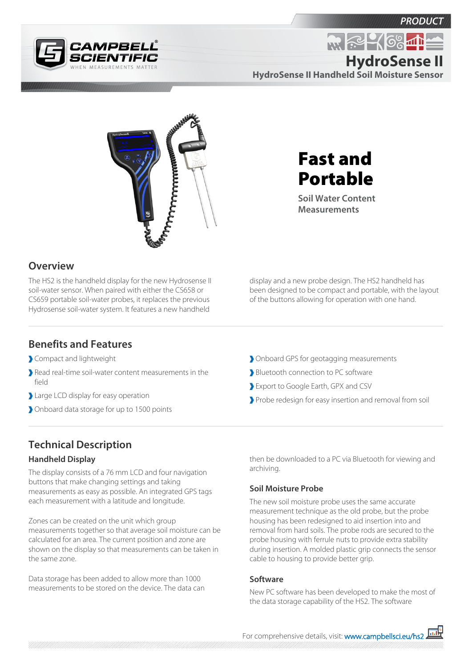



**R. R. 468-11 HydroSense II**

**HydroSense II Handheld Soil Moisture Sensor**



**Overview**

The HS2 is the handheld display for the new Hydrosense II soil-water sensor. When paired with either the CS658 or CS659 portable soil-water probes, it replaces the previous Hydrosense soil-water system. It features a new handheld

# Fast and Portable

**Soil Water Content Measurements**

display and a new probe design. The HS2 handheld has been designed to be compact and portable, with the layout of the buttons allowing for operation with one hand.

### **Benefits and Features**

- Compact and lightweight
- Read real-time soil-water content measurements in the field
- Large LCD display for easy operation
- Onboard data storage for up to 1500 points
- Onboard GPS for geotagging measurements
- Bluetooth connection to PC software
- Export to Google Earth, GPX and CSV
- Probe redesign for easy insertion and removal from soil

## **Technical Description**

#### **Handheld Display**

The display consists of a 76 mm LCD and four navigation buttons that make changing settings and taking measurements as easy as possible. An integrated GPS tags each measurement with a latitude and longitude.

Zones can be created on the unit which group measurements together so that average soil moisture can be calculated for an area. The current position and zone are shown on the display so that measurements can be taken in the same zone.

Data storage has been added to allow more than 1000 measurements to be stored on the device. The data can

then be downloaded to a PC via Bluetooth for viewing and archiving.

#### **Soil Moisture Probe**

The new soil moisture probe uses the same accurate measurement technique as the old probe, but the probe housing has been redesigned to aid insertion into and removal from hard soils. The probe rods are secured to the probe housing with ferrule nuts to provide extra stability during insertion. A molded plastic grip connects the sensor cable to housing to provide better grip.

#### **Software**

New PC software has been developed to make the most of the data storage capability of the HS2. The software